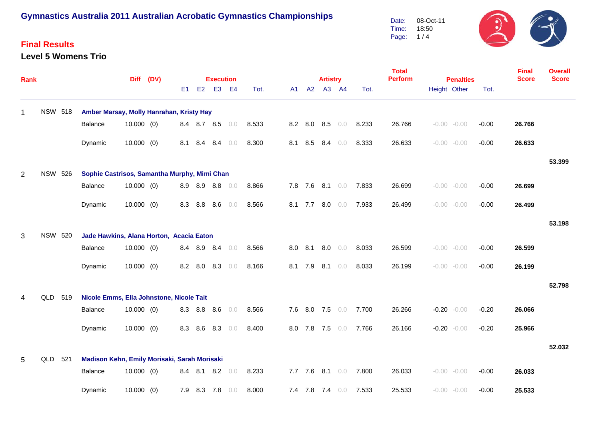### **Final Results**

#### **Level 5 Womens Trio**

 $\mathfrak{I}$ 08-Oct-11 Date: Time: 18:50 Page: 1 / 4



| <b>Rank</b>    |                |                |                                              |              | Diff (DV) |                |             | <b>Execution</b> |     |       |         |       | <b>Artistry</b> |                 |       | <b>Total</b><br><b>Perform</b> | <b>Penalties</b> |                |         | <b>Final</b><br><b>Score</b> | <b>Overall</b><br><b>Score</b> |
|----------------|----------------|----------------|----------------------------------------------|--------------|-----------|----------------|-------------|------------------|-----|-------|---------|-------|-----------------|-----------------|-------|--------------------------------|------------------|----------------|---------|------------------------------|--------------------------------|
|                |                |                |                                              |              |           | E <sub>1</sub> | E2          | E <sub>3</sub>   | E4  | Tot.  |         | A1 A2 | A3 A4           |                 | Tot.  |                                |                  | Height Other   | Tot.    |                              |                                |
| 1              |                | <b>NSW 518</b> | Amber Marsay, Molly Hanrahan, Kristy Hay     |              |           |                |             |                  |     |       |         |       |                 |                 |       |                                |                  |                |         |                              |                                |
|                |                |                | Balance                                      | $10.000$ (0) |           |                |             | 8.4 8.7 8.5 0.0  |     | 8.533 |         |       | 8.2 8.0 8.5 0.0 |                 | 8.233 | 26.766                         |                  | $-0.00 - 0.00$ | $-0.00$ | 26.766                       |                                |
|                |                |                | Dynamic                                      | $10.000$ (0) |           | 8.1            | 8.4         | 8.4              | 0.0 | 8.300 |         |       | 8.1 8.5 8.4     | 0.0             | 8.333 | 26.633                         |                  | $-0.00 - 0.00$ | $-0.00$ | 26.633                       |                                |
|                |                |                |                                              |              |           |                |             |                  |     |       |         |       |                 |                 |       |                                |                  |                |         |                              | 53.399                         |
| $\overline{2}$ | <b>NSW 526</b> |                | Sophie Castrisos, Samantha Murphy, Mimi Chan |              |           |                |             |                  |     |       |         |       |                 |                 |       |                                |                  |                |         |                              |                                |
|                |                |                | Balance                                      | $10.000$ (0) |           |                | 8.9 8.9 8.8 |                  | 0.0 | 8.866 |         |       |                 | 7.8 7.6 8.1 0.0 | 7.833 | 26.699                         |                  | $-0.00 - 0.00$ | $-0.00$ | 26.699                       |                                |
|                |                |                | Dynamic                                      | $10.000$ (0) |           | 8.3            | 8.8         | 8.6              | 0.0 | 8.566 |         |       | 8.1 7.7 8.0 0.0 |                 | 7.933 | 26.499                         |                  | $-0.00 - 0.00$ | $-0.00$ | 26.499                       |                                |
|                |                |                |                                              |              |           |                |             |                  |     |       |         |       |                 |                 |       |                                |                  |                |         |                              | 53.198                         |
| 3              | <b>NSW 520</b> |                | Jade Hawkins, Alana Horton, Acacia Eaton     |              |           |                |             |                  |     |       |         |       |                 |                 |       |                                |                  |                |         |                              |                                |
|                |                |                | Balance                                      | $10.000$ (0) |           |                | 8.4 8.9 8.4 |                  | 0.0 | 8.566 |         |       | 8.0 8.1 8.0     | 0.0             | 8.033 | 26.599                         |                  | $-0.00 - 0.00$ | $-0.00$ | 26.599                       |                                |
|                |                |                | Dynamic                                      | $10.000$ (0) |           |                | 8.2 8.0     | 8.3              | 0.0 | 8.166 | 8.1 7.9 |       |                 | $8.1 \t 0.0$    | 8.033 | 26.199                         |                  | $-0.00 - 0.00$ | $-0.00$ | 26.199                       |                                |
|                |                |                |                                              |              |           |                |             |                  |     |       |         |       |                 |                 |       |                                |                  |                |         |                              | 52.798                         |
| 4              | QLD            | 519            | Nicole Emms, Ella Johnstone, Nicole Tait     |              |           |                |             |                  |     |       |         |       |                 |                 |       |                                |                  |                |         |                              |                                |
|                |                |                | Balance                                      | $10.000$ (0) |           | 8.3            |             | 8.8 8.6          | 0.0 | 8.566 |         |       | 7.6 8.0 7.5 0.0 |                 | 7.700 | 26.266                         |                  | $-0.20 - 0.00$ | $-0.20$ | 26.066                       |                                |
|                |                |                | Dynamic                                      | $10.000$ (0) |           | 8.3            | 8.6         | 8.3              | 0.0 | 8.400 | 8.0 7.8 |       | 7.5             | $0.0$           | 7.766 | 26.166                         |                  | $-0.20 - 0.00$ | $-0.20$ | 25.966                       |                                |
|                |                |                |                                              |              |           |                |             |                  |     |       |         |       |                 |                 |       |                                |                  |                |         |                              | 52.032                         |
| 5              | QLD            | 521            | Madison Kehn, Emily Morisaki, Sarah Morisaki |              |           |                |             |                  |     |       |         |       |                 |                 |       |                                |                  |                |         |                              |                                |
|                |                |                | <b>Balance</b>                               | $10.000$ (0) |           |                | 8.4 8.1     | 8.2              | 0.0 | 8.233 | 7.7 7.6 |       | $8.1 \t 0.0$    |                 | 7.800 | 26.033                         |                  | $-0.00 - 0.00$ | $-0.00$ | 26.033                       |                                |
|                |                |                | Dynamic                                      | $10.000$ (0) |           | 7.9            |             | 8.3 7.8          | 0.0 | 8.000 |         |       | 7.4 7.8 7.4     | 0.0             | 7.533 | 25.533                         |                  | $-0.00 - 0.00$ | $-0.00$ | 25.533                       |                                |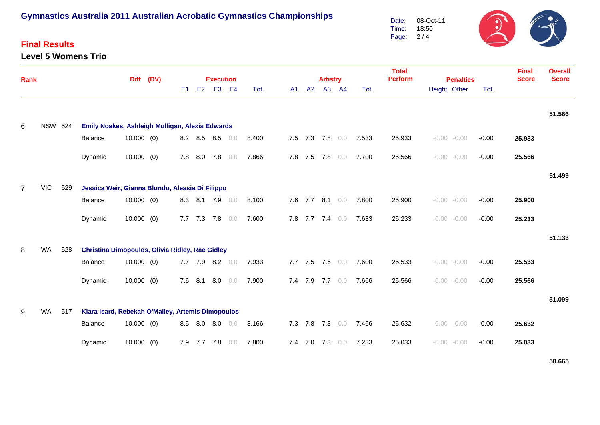## **Final Results**

**Level 5 Womens Trio**



| <b>Rank</b> |                |     |                                                              | (DV)         |  |                | <b>Execution</b> |                 |                |       |    | <b>Artistry</b> |         |       | <b>Total</b><br><b>Perform</b> | <b>Penalties</b> |                    | <b>Final</b><br><b>Score</b> | <b>Overall</b><br><b>Score</b> |        |
|-------------|----------------|-----|--------------------------------------------------------------|--------------|--|----------------|------------------|-----------------|----------------|-------|----|-----------------|---------|-------|--------------------------------|------------------|--------------------|------------------------------|--------------------------------|--------|
|             |                |     |                                                              | <b>Diff</b>  |  | E <sub>1</sub> | E2               | E <sub>3</sub>  | E <sub>4</sub> | Tot.  | A1 | A2              |         | A3 A4 | Tot.                           |                  | Height Other       | Tot.                         |                                |        |
| 6           | <b>NSW 524</b> |     | Emily Noakes, Ashleigh Mulligan, Alexis Edwards              |              |  |                |                  |                 |                |       |    |                 |         |       |                                |                  |                    |                              |                                | 51.566 |
|             |                |     | Balance                                                      | $10.000$ (0) |  |                |                  | 8.2 8.5 8.5 0.0 |                | 8.400 |    | 7.5 7.3 7.8 0.0 |         |       | 7.533                          | 25.933           | $-0.00 - 0.00$     | $-0.00$                      | 25.933                         |        |
|             |                |     | Dynamic                                                      | $10.000$ (0) |  | 7.8            |                  | 8.0 7.8         | 0.0            | 7.866 |    | 7.8 7.5 7.8     |         | 0.0   | 7.700                          | 25.566           | $-0.00 - 0.00$     | $-0.00$                      | 25.566                         |        |
|             |                |     |                                                              |              |  |                |                  |                 |                |       |    |                 |         |       |                                |                  |                    |                              |                                | 51.499 |
| 7           | <b>VIC</b>     | 529 | Jessica Weir, Gianna Blundo, Alessia Di Filippo<br>Balance   | 10.000(0)    |  |                |                  | 8.3 8.1 7.9 0.0 |                | 8.100 |    | 7.6 7.7 8.1 0.0 |         |       | 7.800                          | 25.900           | $-0.00 - 0.00$     | $-0.00$                      | 25.900                         |        |
|             |                |     | Dynamic                                                      | $10.000$ (0) |  |                | 7.7 7.3 7.8      |                 | 0.0            | 7.600 |    | 7.8 7.7 7.4 0.0 |         |       | 7.633                          | 25.233           | $-0.00 - 0.00$     | $-0.00$                      | 25.233                         |        |
| 8           | <b>WA</b>      | 528 | <b>Christina Dimopoulos, Olivia Ridley, Rae Gidley</b>       |              |  |                |                  |                 |                |       |    |                 |         |       |                                |                  |                    |                              |                                | 51.133 |
|             |                |     | Balance                                                      | $10.000$ (0) |  |                |                  | 7.7 7.9 8.2     | 0.0            | 7.933 |    | $7.7$ $7.5$     | 7.6     | 0.0   | 7.600                          | 25.533           | $-0.00 - 0.00$     | $-0.00$                      | 25.533                         |        |
|             |                |     | Dynamic                                                      | $10.000$ (0) |  | 7.6            | 8.1              | 8.0             | 0.0            | 7.900 |    | 7.4 7.9         | 7.7 0.0 |       | 7.666                          | 25.566           | $-0.00 - 0.00$     | $-0.00$                      | 25.566                         |        |
|             | WA             |     |                                                              |              |  |                |                  |                 |                |       |    |                 |         |       |                                |                  |                    |                              |                                | 51.099 |
| 9           |                | 517 | Kiara Isard, Rebekah O'Malley, Artemis Dimopoulos<br>Balance | $10.000$ (0) |  |                |                  | 8.5 8.0 8.0     | 0.0            | 8.166 |    | 7.3 7.8 7.3 0.0 |         |       | 7.466                          | 25.632           | $-0.00$<br>$-0.00$ | $-0.00$                      | 25.632                         |        |
|             |                |     | Dynamic                                                      | 10.000(0)    |  |                | 7.9 7.7          | 7.8             | 0.0            | 7.800 |    | 7.4 7.0 7.3 0.0 |         |       | 7.233                          | 25.033           | $-0.00 - 0.00$     | $-0.00$                      | 25.033                         |        |

**50.665**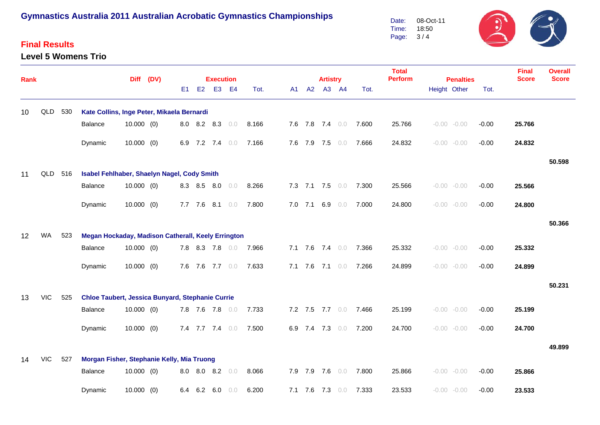#### **Final Results**

#### **Level 5 Womens Trio**

Date: Time: Page: 3 / 4 08-Oct-11 18:50

| Rank |            |     |                                                    | <b>Diff</b>  | (DV) |     |             | <b>Execution</b> |           |       |    |             | <b>Artistry</b> |                 |       | <b>Total</b><br><b>Perform</b> | <b>Penalties</b> |                |         | <b>Final</b><br><b>Score</b> | <b>Overall</b><br><b>Score</b> |
|------|------------|-----|----------------------------------------------------|--------------|------|-----|-------------|------------------|-----------|-------|----|-------------|-----------------|-----------------|-------|--------------------------------|------------------|----------------|---------|------------------------------|--------------------------------|
|      |            |     |                                                    |              |      | E1  |             | E2 E3            | <b>E4</b> | Tot.  | A1 | A2          |                 | A3 A4           | Tot.  |                                |                  | Height Other   | Tot.    |                              |                                |
| 10   | QLD        | 530 | Kate Collins, Inge Peter, Mikaela Bernardi         |              |      |     |             |                  |           |       |    |             |                 |                 |       |                                |                  |                |         |                              |                                |
|      |            |     | Balance                                            | $10.000$ (0) |      | 8.0 |             | 8.2 8.3          | 0.0       | 8.166 |    |             | 7.6 7.8 7.4 0.0 |                 | 7.600 | 25.766                         |                  | $-0.00 - 0.00$ | $-0.00$ | 25.766                       |                                |
|      |            |     | Dynamic                                            | $10.000$ (0) |      |     |             | 6.9 7.2 7.4 0.0  |           | 7.166 |    |             | 7.6 7.9 7.5 0.0 |                 | 7.666 | 24.832                         |                  | $-0.00 - 0.00$ | $-0.00$ | 24.832                       |                                |
|      |            |     |                                                    |              |      |     |             |                  |           |       |    |             |                 |                 |       |                                |                  |                |         |                              | 50.598                         |
| 11   | QLD 516    |     | Isabel Fehlhaber, Shaelyn Nagel, Cody Smith        |              |      |     |             |                  |           |       |    |             |                 |                 |       |                                |                  |                |         |                              |                                |
|      |            |     | Balance                                            | $10.000$ (0) |      |     | 8.3 8.5 8.0 |                  | 0.0       | 8.266 |    |             | 7.3 7.1 7.5 0.0 |                 | 7.300 | 25.566                         |                  | $-0.00 - 0.00$ | $-0.00$ | 25.566                       |                                |
|      |            |     | Dynamic                                            | $10.000$ (0) |      |     |             | 7.7 7.6 8.1      | 0.0       | 7.800 |    |             | 7.0 7.1 6.9 0.0 |                 | 7.000 | 24.800                         |                  | $-0.00 - 0.00$ | $-0.00$ | 24.800                       |                                |
|      |            |     |                                                    |              |      |     |             |                  |           |       |    |             |                 |                 |       |                                |                  |                |         |                              | 50.366                         |
| 12   | WA         | 523 | Megan Hockaday, Madison Catherall, Keely Errington |              |      |     |             |                  |           |       |    |             |                 |                 |       |                                |                  |                |         |                              |                                |
|      |            |     | Balance                                            | $10.000$ (0) |      |     |             | 7.8 8.3 7.8 0.0  |           | 7.966 |    |             | 7.1 7.6 7.4 0.0 |                 | 7.366 | 25.332                         |                  | $-0.00 - 0.00$ | $-0.00$ | 25.332                       |                                |
|      |            |     | Dynamic                                            | $10.000$ (0) |      |     |             | 7.6 7.6 7.7 0.0  |           | 7.633 |    |             | 7.1 7.6 7.1 0.0 |                 | 7.266 | 24.899                         |                  | $-0.00 - 0.00$ | $-0.00$ | 24.899                       |                                |
|      |            |     |                                                    |              |      |     |             |                  |           |       |    |             |                 |                 |       |                                |                  |                |         |                              | 50.231                         |
| 13   | <b>VIC</b> | 525 | Chloe Taubert, Jessica Bunyard, Stephanie Currie   |              |      |     |             |                  |           |       |    |             |                 |                 |       |                                |                  |                |         |                              |                                |
|      |            |     | Balance                                            | $10.000$ (0) |      |     |             | 7.8 7.6 7.8 0.0  |           | 7.733 |    |             |                 | 7.2 7.5 7.7 0.0 | 7.466 | 25.199                         |                  | $-0.00 - 0.00$ | $-0.00$ | 25.199                       |                                |
|      |            |     | Dynamic                                            | $10.000$ (0) |      |     |             | 7.4 7.7 7.4 0.0  |           | 7.500 |    |             | 6.9 7.4 7.3 0.0 |                 | 7.200 | 24.700                         |                  | $-0.00 - 0.00$ | $-0.00$ | 24.700                       |                                |
|      |            |     |                                                    |              |      |     |             |                  |           |       |    |             |                 |                 |       |                                |                  |                |         |                              | 49.899                         |
| 14   | <b>VIC</b> | 527 | Morgan Fisher, Stephanie Kelly, Mia Truong         |              |      |     |             |                  |           |       |    |             |                 |                 |       |                                |                  |                |         |                              |                                |
|      |            |     | Balance                                            | $10.000$ (0) |      | 8.0 |             | 8.0 8.2          | 0.0       | 8.066 |    | 7.9 7.9 7.6 |                 | 0.0             | 7.800 | 25.866                         |                  | $-0.00 - 0.00$ | $-0.00$ | 25.866                       |                                |
|      |            |     | Dynamic                                            | $10.000$ (0) |      | 6.4 | 6.2         | 6.0              | 0.0       | 6.200 |    |             | 7.1 7.6 7.3 0.0 |                 | 7.333 | 23.533                         |                  | $-0.00 - 0.00$ | $-0.00$ | 23.533                       |                                |